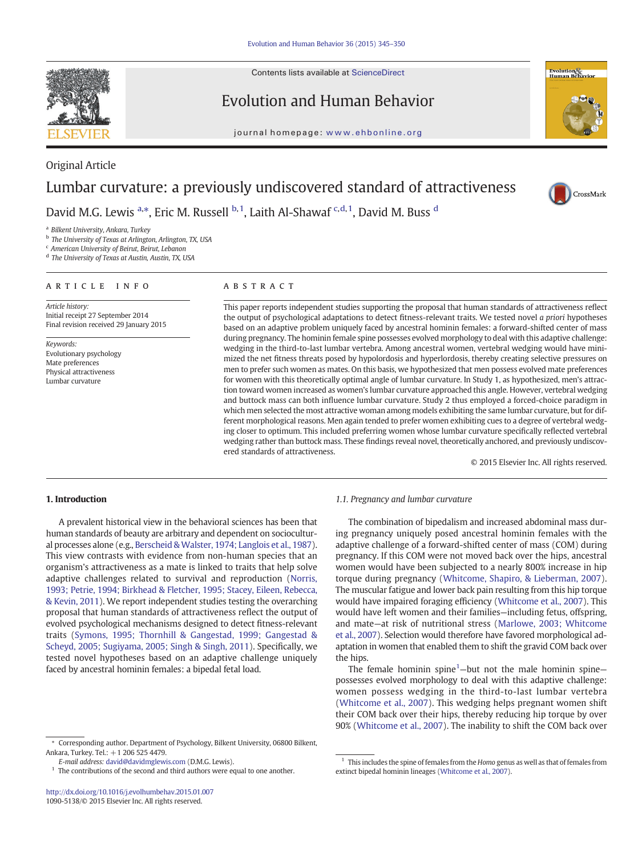Contents lists available at ScienceDirect



# Evolution and Human Behavior





# Original Article Lumbar curvature: a previously undiscovered standard of attractiveness

David M.G. Lewis <sup>a,\*</sup>, Eric M. Russell <sup>b, 1</sup>, Laith Al-Shawaf <sup>c, d, 1</sup>, David M. Buss <sup>d</sup>



<sup>a</sup> Bilkent University, Ankara, Turkey

<sup>b</sup> The University of Texas at Arlington, Arlington, TX, USA

<sup>c</sup> American University of Beirut, Beirut, Lebanon

<sup>d</sup> The University of Texas at Austin, Austin, TX, USA

# article info abstract

Article history: Initial receipt 27 September 2014 Final revision received 29 January 2015

Keywords: Evolutionary psychology Mate preferences Physical attractiveness Lumbar curvature

This paper reports independent studies supporting the proposal that human standards of attractiveness reflect the output of psychological adaptations to detect fitness-relevant traits. We tested novel a priori hypotheses based on an adaptive problem uniquely faced by ancestral hominin females: a forward-shifted center of mass during pregnancy. The hominin female spine possesses evolved morphology to deal with this adaptive challenge: wedging in the third-to-last lumbar vertebra. Among ancestral women, vertebral wedging would have minimized the net fitness threats posed by hypolordosis and hyperlordosis, thereby creating selective pressures on men to prefer such women as mates. On this basis, we hypothesized that men possess evolved mate preferences for women with this theoretically optimal angle of lumbar curvature. In Study 1, as hypothesized, men's attraction toward women increased as women's lumbar curvature approached this angle. However, vertebral wedging and buttock mass can both influence lumbar curvature. Study 2 thus employed a forced-choice paradigm in which men selected the most attractive woman among models exhibiting the same lumbar curvature, but for different morphological reasons. Men again tended to prefer women exhibiting cues to a degree of vertebral wedging closer to optimum. This included preferring women whose lumbar curvature specifically reflected vertebral wedging rather than buttock mass. These findings reveal novel, theoretically anchored, and previously undiscovered standards of attractiveness.

© 2015 Elsevier Inc. All rights reserved.

# 1. Introduction

A prevalent historical view in the behavioral sciences has been that human standards of beauty are arbitrary and dependent on sociocultural processes alone (e.g., [Berscheid & Walster, 1974; Langlois et al., 1987](#page-5-0)). This view contrasts with evidence from non-human species that an organism's attractiveness as a mate is linked to traits that help solve adaptive challenges related to survival and reproduction ([Norris,](#page-5-0) [1993; Petrie, 1994; Birkhead & Fletcher, 1995; Stacey, Eileen, Rebecca,](#page-5-0) [& Kevin, 2011\)](#page-5-0). We report independent studies testing the overarching proposal that human standards of attractiveness reflect the output of evolved psychological mechanisms designed to detect fitness-relevant traits [\(Symons, 1995; Thornhill & Gangestad, 1999; Gangestad &](#page-5-0) [Scheyd, 2005; Sugiyama, 2005; Singh & Singh, 2011\)](#page-5-0). Specifically, we tested novel hypotheses based on an adaptive challenge uniquely faced by ancestral hominin females: a bipedal fetal load.

#### 1.1. Pregnancy and lumbar curvature

The combination of bipedalism and increased abdominal mass during pregnancy uniquely posed ancestral hominin females with the adaptive challenge of a forward-shifted center of mass (COM) during pregnancy. If this COM were not moved back over the hips, ancestral women would have been subjected to a nearly 800% increase in hip torque during pregnancy ([Whitcome, Shapiro, & Lieberman, 2007](#page-5-0)). The muscular fatigue and lower back pain resulting from this hip torque would have impaired foraging efficiency ([Whitcome et al., 2007](#page-5-0)). This would have left women and their families—including fetus, offspring, and mate—at risk of nutritional stress ([Marlowe, 2003; Whitcome](#page-5-0) [et al., 2007\)](#page-5-0). Selection would therefore have favored morphological adaptation in women that enabled them to shift the gravid COM back over the hips.

The female hominin spine<sup>1</sup> $-$ but not the male hominin spine $$ possesses evolved morphology to deal with this adaptive challenge: women possess wedging in the third-to-last lumbar vertebra [\(Whitcome et al., 2007](#page-5-0)). This wedging helps pregnant women shift their COM back over their hips, thereby reducing hip torque by over 90% [\(Whitcome et al., 2007\)](#page-5-0). The inability to shift the COM back over

E-mail address: [david@davidmglewis.com](mailto:david@davidmglewis.com) (D.M.G. Lewis).

<sup>⁎</sup> Corresponding author. Department of Psychology, Bilkent University, 06800 Bilkent, Ankara, Turkey. Tel.: +1 206 525 4479.

 $1$  The contributions of the second and third authors were equal to one another.

 $1$  This includes the spine of females from the Homo genus as well as that of females from extinct bipedal hominin lineages [\(Whitcome et al., 2007\)](#page-5-0).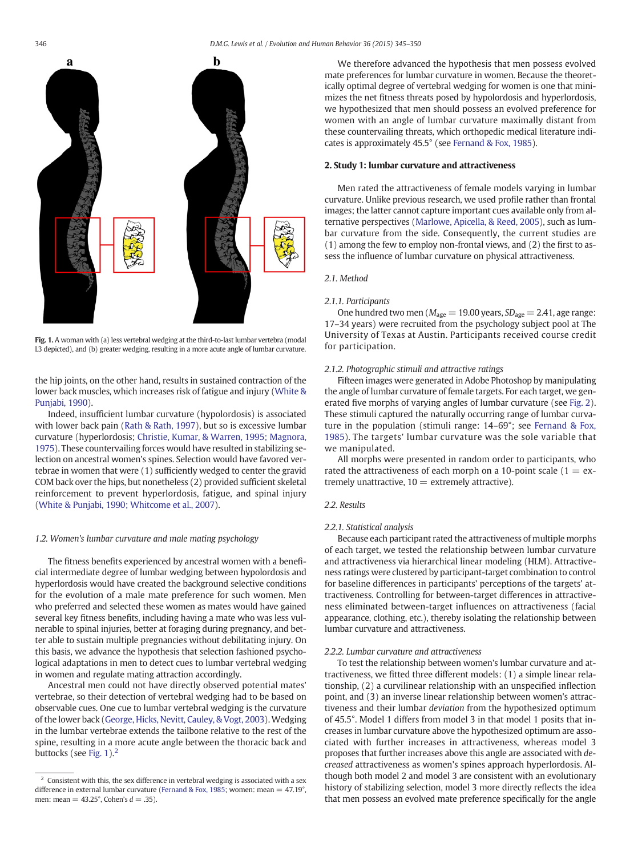



Fig. 1. A woman with (a) less vertebral wedging at the third-to-last lumbar vertebra (modal L3 depicted), and (b) greater wedging, resulting in a more acute angle of lumbar curvature.

the hip joints, on the other hand, results in sustained contraction of the lower back muscles, which increases risk of fatigue and injury [\(White &](#page-5-0) [Punjabi, 1990\)](#page-5-0).

Indeed, insufficient lumbar curvature (hypolordosis) is associated with lower back pain [\(Rath & Rath, 1997\)](#page-5-0), but so is excessive lumbar curvature (hyperlordosis; [Christie, Kumar, & Warren, 1995; Magnora,](#page-5-0) [1975](#page-5-0)). These countervailing forces would have resulted in stabilizing selection on ancestral women's spines. Selection would have favored vertebrae in women that were (1) sufficiently wedged to center the gravid COM back over the hips, but nonetheless (2) provided sufficient skeletal reinforcement to prevent hyperlordosis, fatigue, and spinal injury ([White & Punjabi, 1990; Whitcome et al., 2007](#page-5-0)).

#### 1.2. Women's lumbar curvature and male mating psychology

The fitness benefits experienced by ancestral women with a beneficial intermediate degree of lumbar wedging between hypolordosis and hyperlordosis would have created the background selective conditions for the evolution of a male mate preference for such women. Men who preferred and selected these women as mates would have gained several key fitness benefits, including having a mate who was less vulnerable to spinal injuries, better at foraging during pregnancy, and better able to sustain multiple pregnancies without debilitating injury. On this basis, we advance the hypothesis that selection fashioned psychological adaptations in men to detect cues to lumbar vertebral wedging in women and regulate mating attraction accordingly.

Ancestral men could not have directly observed potential mates' vertebrae, so their detection of vertebral wedging had to be based on observable cues. One cue to lumbar vertebral wedging is the curvature of the lower back [\(George, Hicks, Nevitt, Cauley, & Vogt, 2003\)](#page-5-0).Wedging in the lumbar vertebrae extends the tailbone relative to the rest of the spine, resulting in a more acute angle between the thoracic back and buttocks (see Fig.  $1$ ).<sup>2</sup>

We therefore advanced the hypothesis that men possess evolved mate preferences for lumbar curvature in women. Because the theoretically optimal degree of vertebral wedging for women is one that minimizes the net fitness threats posed by hypolordosis and hyperlordosis, we hypothesized that men should possess an evolved preference for women with an angle of lumbar curvature maximally distant from these countervailing threats, which orthopedic medical literature indicates is approximately 45.5° (see [Fernand & Fox, 1985](#page-5-0)).

# 2. Study 1: lumbar curvature and attractiveness

Men rated the attractiveness of female models varying in lumbar curvature. Unlike previous research, we used profile rather than frontal images; the latter cannot capture important cues available only from alternative perspectives [\(Marlowe, Apicella, & Reed, 2005\)](#page-5-0), such as lumbar curvature from the side. Consequently, the current studies are (1) among the few to employ non-frontal views, and (2) the first to assess the influence of lumbar curvature on physical attractiveness.

# 2.1. Method

#### 2.1.1. Participants

One hundred two men ( $M_{\text{age}} = 19.00$  years,  $SD_{\text{age}} = 2.41$ , age range: 17–34 years) were recruited from the psychology subject pool at The University of Texas at Austin. Participants received course credit for participation.

### 2.1.2. Photographic stimuli and attractive ratings

Fifteen images were generated in Adobe Photoshop by manipulating the angle of lumbar curvature of female targets. For each target, we generated five morphs of varying angles of lumbar curvature (see [Fig. 2](#page-2-0)). These stimuli captured the naturally occurring range of lumbar curvature in the population (stimuli range: 14–69°; see [Fernand & Fox,](#page-5-0) [1985\)](#page-5-0). The targets' lumbar curvature was the sole variable that we manipulated.

All morphs were presented in random order to participants, who rated the attractiveness of each morph on a 10-point scale  $(1 = e<sub>x</sub>$ tremely unattractive,  $10 =$  extremely attractive).

#### 2.2. Results

# 2.2.1. Statistical analysis

Because each participant rated the attractiveness of multiple morphs of each target, we tested the relationship between lumbar curvature and attractiveness via hierarchical linear modeling (HLM). Attractiveness ratings were clustered by participant-target combination to control for baseline differences in participants' perceptions of the targets' attractiveness. Controlling for between-target differences in attractiveness eliminated between-target influences on attractiveness (facial appearance, clothing, etc.), thereby isolating the relationship between lumbar curvature and attractiveness.

#### 2.2.2. Lumbar curvature and attractiveness

To test the relationship between women's lumbar curvature and attractiveness, we fitted three different models: (1) a simple linear relationship, (2) a curvilinear relationship with an unspecified inflection point, and (3) an inverse linear relationship between women's attractiveness and their lumbar deviation from the hypothesized optimum of 45.5°. Model 1 differs from model 3 in that model 1 posits that increases in lumbar curvature above the hypothesized optimum are associated with further increases in attractiveness, whereas model 3 proposes that further increases above this angle are associated with decreased attractiveness as women's spines approach hyperlordosis. Although both model 2 and model 3 are consistent with an evolutionary history of stabilizing selection, model 3 more directly reflects the idea that men possess an evolved mate preference specifically for the angle

 $2$  Consistent with this, the sex difference in vertebral wedging is associated with a sex difference in external lumbar curvature [\(Fernand & Fox, 1985](#page-5-0); women: mean = 47.19°, men: mean =  $43.25^{\circ}$ , Cohen's  $d = .35$ ).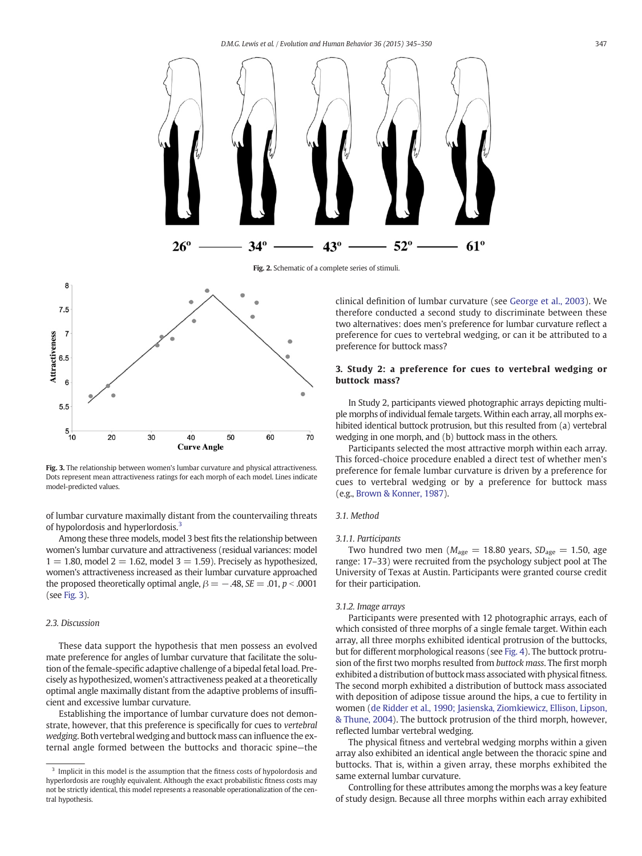<span id="page-2-0"></span>

Fig. 2. Schematic of a complete series of stimuli.



Fig. 3. The relationship between women's lumbar curvature and physical attractiveness. Dots represent mean attractiveness ratings for each morph of each model. Lines indicate model-predicted values.

of lumbar curvature maximally distant from the countervailing threats of hypolordosis and hyperlordosis.<sup>3</sup>

Among these three models, model 3 best fits the relationship between women's lumbar curvature and attractiveness (residual variances: model  $1 = 1.80$ , model  $2 = 1.62$ , model  $3 = 1.59$ ). Precisely as hypothesized, women's attractiveness increased as their lumbar curvature approached the proposed theoretically optimal angle,  $\beta = -.48$ ,  $SE = .01$ ,  $p < .0001$ (see Fig. 3).

# 2.3. Discussion

These data support the hypothesis that men possess an evolved mate preference for angles of lumbar curvature that facilitate the solution of the female-specific adaptive challenge of a bipedal fetal load. Precisely as hypothesized, women's attractiveness peaked at a theoretically optimal angle maximally distant from the adaptive problems of insufficient and excessive lumbar curvature.

Establishing the importance of lumbar curvature does not demonstrate, however, that this preference is specifically for cues to vertebral wedging. Both vertebral wedging and buttock mass can influence the external angle formed between the buttocks and thoracic spine—the clinical definition of lumbar curvature (see [George et al., 2003](#page-5-0)). We therefore conducted a second study to discriminate between these two alternatives: does men's preference for lumbar curvature reflect a preference for cues to vertebral wedging, or can it be attributed to a preference for buttock mass?

# 3. Study 2: a preference for cues to vertebral wedging or buttock mass?

In Study 2, participants viewed photographic arrays depicting multiple morphs of individual female targets. Within each array, all morphs exhibited identical buttock protrusion, but this resulted from (a) vertebral wedging in one morph, and (b) buttock mass in the others.

Participants selected the most attractive morph within each array. This forced-choice procedure enabled a direct test of whether men's preference for female lumbar curvature is driven by a preference for cues to vertebral wedging or by a preference for buttock mass (e.g., [Brown & Konner, 1987](#page-5-0)).

#### 3.1. Method

#### 3.1.1. Participants

Two hundred two men ( $M_{\text{age}} = 18.80$  years,  $SD_{\text{age}} = 1.50$ , age range: 17–33) were recruited from the psychology subject pool at The University of Texas at Austin. Participants were granted course credit for their participation.

#### 3.1.2. Image arrays

Participants were presented with 12 photographic arrays, each of which consisted of three morphs of a single female target. Within each array, all three morphs exhibited identical protrusion of the buttocks, but for different morphological reasons (see [Fig. 4](#page-3-0)). The buttock protrusion of the first two morphs resulted from buttock mass. The first morph exhibited a distribution of buttock mass associated with physical fitness. The second morph exhibited a distribution of buttock mass associated with deposition of adipose tissue around the hips, a cue to fertility in women [\(de Ridder et al., 1990; Jasienska, Ziomkiewicz, Ellison, Lipson,](#page-5-0) [& Thune, 2004](#page-5-0)). The buttock protrusion of the third morph, however, reflected lumbar vertebral wedging.

The physical fitness and vertebral wedging morphs within a given array also exhibited an identical angle between the thoracic spine and buttocks. That is, within a given array, these morphs exhibited the same external lumbar curvature.

Controlling for these attributes among the morphs was a key feature of study design. Because all three morphs within each array exhibited

Implicit in this model is the assumption that the fitness costs of hypolordosis and hyperlordosis are roughly equivalent. Although the exact probabilistic fitness costs may not be strictly identical, this model represents a reasonable operationalization of the central hypothesis.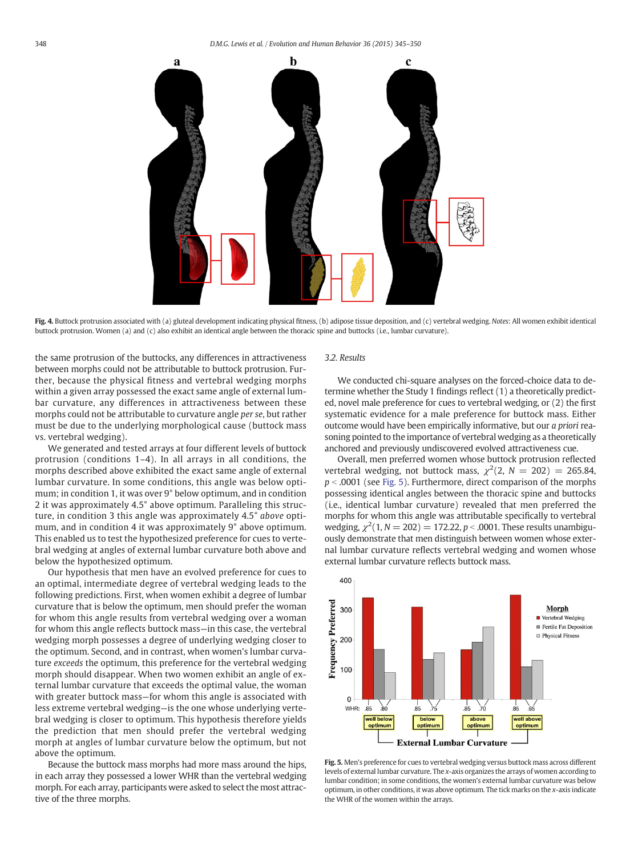<span id="page-3-0"></span>

Fig. 4. Buttock protrusion associated with (a) gluteal development indicating physical fitness, (b) adipose tissue deposition, and (c) vertebral wedging. Notes: All women exhibit identical buttock protrusion. Women (a) and (c) also exhibit an identical angle between the thoracic spine and buttocks (i.e., lumbar curvature).

the same protrusion of the buttocks, any differences in attractiveness between morphs could not be attributable to buttock protrusion. Further, because the physical fitness and vertebral wedging morphs within a given array possessed the exact same angle of external lumbar curvature, any differences in attractiveness between these morphs could not be attributable to curvature angle per se, but rather must be due to the underlying morphological cause (buttock mass vs. vertebral wedging).

We generated and tested arrays at four different levels of buttock protrusion (conditions 1–4). In all arrays in all conditions, the morphs described above exhibited the exact same angle of external lumbar curvature. In some conditions, this angle was below optimum; in condition 1, it was over 9° below optimum, and in condition 2 it was approximately 4.5° above optimum. Paralleling this structure, in condition 3 this angle was approximately 4.5° above optimum, and in condition 4 it was approximately 9° above optimum. This enabled us to test the hypothesized preference for cues to vertebral wedging at angles of external lumbar curvature both above and below the hypothesized optimum.

Our hypothesis that men have an evolved preference for cues to an optimal, intermediate degree of vertebral wedging leads to the following predictions. First, when women exhibit a degree of lumbar curvature that is below the optimum, men should prefer the woman for whom this angle results from vertebral wedging over a woman for whom this angle reflects buttock mass—in this case, the vertebral wedging morph possesses a degree of underlying wedging closer to the optimum. Second, and in contrast, when women's lumbar curvature exceeds the optimum, this preference for the vertebral wedging morph should disappear. When two women exhibit an angle of external lumbar curvature that exceeds the optimal value, the woman with greater buttock mass—for whom this angle is associated with less extreme vertebral wedging—is the one whose underlying vertebral wedging is closer to optimum. This hypothesis therefore yields the prediction that men should prefer the vertebral wedging morph at angles of lumbar curvature below the optimum, but not above the optimum.

Because the buttock mass morphs had more mass around the hips, in each array they possessed a lower WHR than the vertebral wedging morph. For each array, participants were asked to select the most attractive of the three morphs.

# 3.2. Results

We conducted chi-square analyses on the forced-choice data to determine whether the Study 1 findings reflect (1) a theoretically predicted, novel male preference for cues to vertebral wedging, or (2) the first systematic evidence for a male preference for buttock mass. Either outcome would have been empirically informative, but our a priori reasoning pointed to the importance of vertebral wedging as a theoretically anchored and previously undiscovered evolved attractiveness cue.

Overall, men preferred women whose buttock protrusion reflected vertebral wedging, not buttock mass,  $\chi^2(2, N = 202) = 265.84$ ,  $p < .0001$  (see Fig. 5). Furthermore, direct comparison of the morphs possessing identical angles between the thoracic spine and buttocks (i.e., identical lumbar curvature) revealed that men preferred the morphs for whom this angle was attributable specifically to vertebral wedging,  $\chi^2(1, N = 202) = 172.22, p < .0001$ . These results unambiguously demonstrate that men distinguish between women whose external lumbar curvature reflects vertebral wedging and women whose external lumbar curvature reflects buttock mass.



Fig. 5. Men's preference for cues to vertebral wedging versus buttock mass across different levels of external lumbar curvature. The x-axis organizes the arrays of women according to lumbar condition; in some conditions, the women's external lumbar curvature was below optimum, in other conditions, it was above optimum. The tick marks on the x-axis indicate the WHR of the women within the arrays.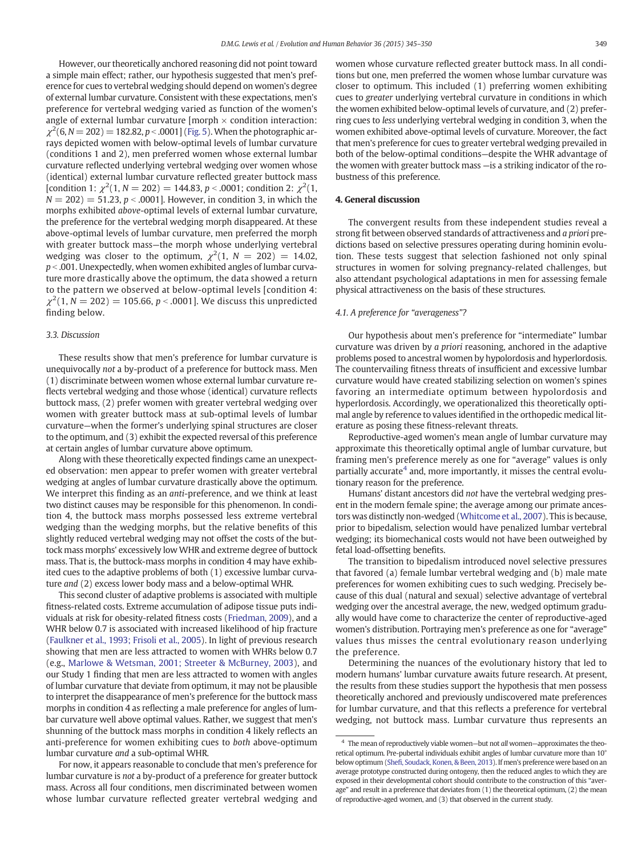However, our theoretically anchored reasoning did not point toward a simple main effect; rather, our hypothesis suggested that men's preference for cues to vertebral wedging should depend on women's degree of external lumbar curvature. Consistent with these expectations, men's preference for vertebral wedging varied as function of the women's angle of external lumbar curvature  $[morph \times condition$  interaction:  $\chi^2(6, N = 202) = 182.82, p < .0001$  [\(Fig. 5](#page-3-0)). When the photographic arrays depicted women with below-optimal levels of lumbar curvature (conditions 1 and 2), men preferred women whose external lumbar curvature reflected underlying vertebral wedging over women whose (identical) external lumbar curvature reflected greater buttock mass [condition 1:  $\chi^2(1, N = 202) = 144.83$ ,  $p < .0001$ ; condition 2:  $\chi^2(1, N = 1202)$  $N = 202$ ) = 51.23, p < .0001]. However, in condition 3, in which the morphs exhibited above-optimal levels of external lumbar curvature, the preference for the vertebral wedging morph disappeared. At these above-optimal levels of lumbar curvature, men preferred the morph with greater buttock mass—the morph whose underlying vertebral wedging was closer to the optimum,  $\chi^2(1, N = 202) = 14.02$ ,  $p < .001$ . Unexpectedly, when women exhibited angles of lumbar curvature more drastically above the optimum, the data showed a return to the pattern we observed at below-optimal levels [condition 4:  $\chi^2(1, N = 202) = 105.66, p < .0001$ . We discuss this unpredicted finding below.

### 3.3. Discussion

These results show that men's preference for lumbar curvature is unequivocally not a by-product of a preference for buttock mass. Men (1) discriminate between women whose external lumbar curvature reflects vertebral wedging and those whose (identical) curvature reflects buttock mass, (2) prefer women with greater vertebral wedging over women with greater buttock mass at sub-optimal levels of lumbar curvature—when the former's underlying spinal structures are closer to the optimum, and (3) exhibit the expected reversal of this preference at certain angles of lumbar curvature above optimum.

Along with these theoretically expected findings came an unexpected observation: men appear to prefer women with greater vertebral wedging at angles of lumbar curvature drastically above the optimum. We interpret this finding as an *anti*-preference, and we think at least two distinct causes may be responsible for this phenomenon. In condition 4, the buttock mass morphs possessed less extreme vertebral wedging than the wedging morphs, but the relative benefits of this slightly reduced vertebral wedging may not offset the costs of the buttock mass morphs' excessively low WHR and extreme degree of buttock mass. That is, the buttock-mass morphs in condition 4 may have exhibited cues to the adaptive problems of both (1) excessive lumbar curvature and (2) excess lower body mass and a below-optimal WHR.

This second cluster of adaptive problems is associated with multiple fitness-related costs. Extreme accumulation of adipose tissue puts individuals at risk for obesity-related fitness costs [\(Friedman, 2009\)](#page-5-0), and a WHR below 0.7 is associated with increased likelihood of hip fracture [\(Faulkner et al., 1993; Frisoli et al., 2005\)](#page-5-0). In light of previous research showing that men are less attracted to women with WHRs below 0.7 (e.g., [Marlowe & Wetsman, 2001; Streeter & McBurney, 2003\)](#page-5-0), and our Study 1 finding that men are less attracted to women with angles of lumbar curvature that deviate from optimum, it may not be plausible to interpret the disappearance of men's preference for the buttock mass morphs in condition 4 as reflecting a male preference for angles of lumbar curvature well above optimal values. Rather, we suggest that men's shunning of the buttock mass morphs in condition 4 likely reflects an anti-preference for women exhibiting cues to both above-optimum lumbar curvature and a sub-optimal WHR.

For now, it appears reasonable to conclude that men's preference for lumbar curvature is not a by-product of a preference for greater buttock mass. Across all four conditions, men discriminated between women whose lumbar curvature reflected greater vertebral wedging and

women whose curvature reflected greater buttock mass. In all conditions but one, men preferred the women whose lumbar curvature was closer to optimum. This included (1) preferring women exhibiting cues to greater underlying vertebral curvature in conditions in which the women exhibited below-optimal levels of curvature, and (2) preferring cues to less underlying vertebral wedging in condition 3, when the women exhibited above-optimal levels of curvature. Moreover, the fact that men's preference for cues to greater vertebral wedging prevailed in both of the below-optimal conditions—despite the WHR advantage of the women with greater buttock mass —is a striking indicator of the robustness of this preference.

# 4. General discussion

The convergent results from these independent studies reveal a strong fit between observed standards of attractiveness and a priori predictions based on selective pressures operating during hominin evolution. These tests suggest that selection fashioned not only spinal structures in women for solving pregnancy-related challenges, but also attendant psychological adaptations in men for assessing female physical attractiveness on the basis of these structures.

#### 4.1. A preference for "averageness"?

Our hypothesis about men's preference for "intermediate" lumbar curvature was driven by a priori reasoning, anchored in the adaptive problems posed to ancestral women by hypolordosis and hyperlordosis. The countervailing fitness threats of insufficient and excessive lumbar curvature would have created stabilizing selection on women's spines favoring an intermediate optimum between hypolordosis and hyperlordosis. Accordingly, we operationalized this theoretically optimal angle by reference to values identified in the orthopedic medical literature as posing these fitness-relevant threats.

Reproductive-aged women's mean angle of lumbar curvature may approximate this theoretically optimal angle of lumbar curvature, but framing men's preference merely as one for "average" values is only partially accurate<sup>4</sup> and, more importantly, it misses the central evolutionary reason for the preference.

Humans' distant ancestors did not have the vertebral wedging present in the modern female spine; the average among our primate ancestors was distinctly non-wedged ([Whitcome et al., 2007\)](#page-5-0). This is because, prior to bipedalism, selection would have penalized lumbar vertebral wedging; its biomechanical costs would not have been outweighed by fetal load-offsetting benefits.

The transition to bipedalism introduced novel selective pressures that favored (a) female lumbar vertebral wedging and (b) male mate preferences for women exhibiting cues to such wedging. Precisely because of this dual (natural and sexual) selective advantage of vertebral wedging over the ancestral average, the new, wedged optimum gradually would have come to characterize the center of reproductive-aged women's distribution. Portraying men's preference as one for "average" values thus misses the central evolutionary reason underlying the preference.

Determining the nuances of the evolutionary history that led to modern humans' lumbar curvature awaits future research. At present, the results from these studies support the hypothesis that men possess theoretically anchored and previously undiscovered mate preferences for lumbar curvature, and that this reflects a preference for vertebral wedging, not buttock mass. Lumbar curvature thus represents an

 $^4\,$  The mean of reproductively viable women—but not all women—approximates the theoretical optimum. Pre-pubertal individuals exhibit angles of lumbar curvature more than 10° below optimum (Shefi[, Soudack, Konen, & Been, 2013\)](#page-5-0). If men's preference were based on an average prototype constructed during ontogeny, then the reduced angles to which they are exposed in their developmental cohort should contribute to the construction of this "average" and result in a preference that deviates from (1) the theoretical optimum, (2) the mean of reproductive-aged women, and (3) that observed in the current study.